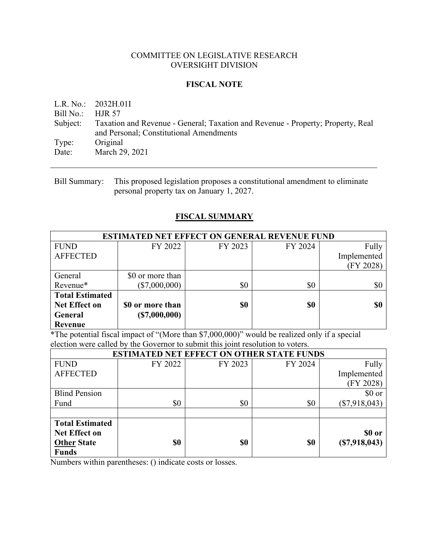### COMMITTEE ON LEGISLATIVE RESEARCH OVERSIGHT DIVISION

### **FISCAL NOTE**

L.R. No.: 2032H.01I Bill No.: HJR 57 Subject: Taxation and Revenue - General; Taxation and Revenue - Property; Property, Real and Personal; Constitutional Amendments Type: Original Date: March 29, 2021

## **FISCAL SUMMARY**

| <b>ESTIMATED NET EFFECT ON GENERAL REVENUE FUND</b> |                  |         |         |             |  |
|-----------------------------------------------------|------------------|---------|---------|-------------|--|
| <b>FUND</b>                                         | FY 2022          | FY 2023 | FY 2024 | Fully       |  |
| <b>AFFECTED</b>                                     |                  |         |         | Implemented |  |
|                                                     |                  |         |         | (FY 2028)   |  |
| General                                             | \$0 or more than |         |         |             |  |
| Revenue*                                            | $(\$7,000,000)$  | \$0     | \$0     | \$0         |  |
| <b>Total Estimated</b>                              |                  |         |         |             |  |
| <b>Net Effect on</b>                                | \$0 or more than | \$0     | \$0     | \$0         |  |
| General                                             | (S7,000,000)     |         |         |             |  |
| <b>Revenue</b>                                      |                  |         |         |             |  |

\*The potential fiscal impact of "(More than \$7,000,000)" would be realized only if a special election were called by the Governor to submit this joint resolution to voters.

| <b>ESTIMATED NET EFFECT ON OTHER STATE FUNDS</b> |         |         |         |                 |  |
|--------------------------------------------------|---------|---------|---------|-----------------|--|
| <b>FUND</b>                                      | FY 2022 | FY 2023 | FY 2024 | Fully           |  |
| <b>AFFECTED</b>                                  |         |         |         | Implemented     |  |
|                                                  |         |         |         | (FY 2028)       |  |
| <b>Blind Pension</b>                             |         |         |         | $$0 \text{ or}$ |  |
| Fund                                             | \$0     | \$0     | \$0     | $(\$7,918,043)$ |  |
|                                                  |         |         |         |                 |  |
| <b>Total Estimated</b>                           |         |         |         |                 |  |
| <b>Net Effect on</b>                             |         |         |         | \$0 or          |  |
| <b>Other State</b>                               | \$0     | \$0     | \$0     | (S7,918,043)    |  |
| <b>Funds</b>                                     |         |         |         |                 |  |

Numbers within parentheses: () indicate costs or losses.

Bill Summary: This proposed legislation proposes a constitutional amendment to eliminate personal property tax on January 1, 2027.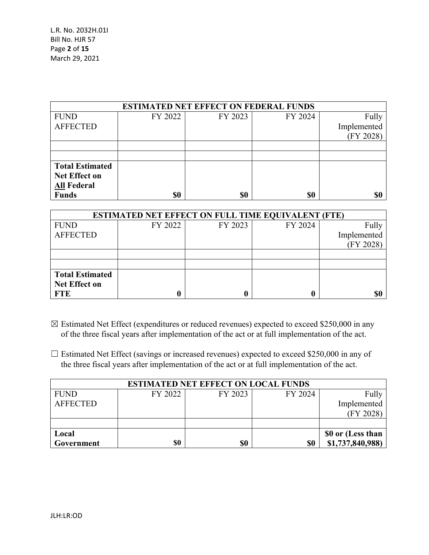| <b>ESTIMATED NET EFFECT ON FEDERAL FUNDS</b> |         |         |         |             |  |  |
|----------------------------------------------|---------|---------|---------|-------------|--|--|
| <b>FUND</b>                                  | FY 2022 | FY 2023 | FY 2024 | Fully       |  |  |
| <b>AFFECTED</b>                              |         |         |         | Implemented |  |  |
|                                              |         |         |         | (FY 2028)   |  |  |
|                                              |         |         |         |             |  |  |
|                                              |         |         |         |             |  |  |
| <b>Total Estimated</b>                       |         |         |         |             |  |  |
| Net Effect on                                |         |         |         |             |  |  |
| <b>All Federal</b>                           |         |         |         |             |  |  |
| <b>Funds</b>                                 | \$0     | \$0     | \$0     | \$0         |  |  |

| <b>ESTIMATED NET EFFECT ON FULL TIME EQUIVALENT (FTE)</b> |         |         |         |             |  |
|-----------------------------------------------------------|---------|---------|---------|-------------|--|
| <b>FUND</b>                                               | FY 2022 | FY 2023 | FY 2024 | Fully       |  |
| <b>AFFECTED</b>                                           |         |         |         | Implemented |  |
|                                                           |         |         |         | (FY 2028)   |  |
|                                                           |         |         |         |             |  |
|                                                           |         |         |         |             |  |
| <b>Total Estimated</b>                                    |         |         |         |             |  |
| <b>Net Effect on</b>                                      |         |         |         |             |  |
| <b>FTE</b>                                                |         |         |         | \$0         |  |

- $\boxtimes$  Estimated Net Effect (expenditures or reduced revenues) expected to exceed \$250,000 in any of the three fiscal years after implementation of the act or at full implementation of the act.
- $\Box$  Estimated Net Effect (savings or increased revenues) expected to exceed \$250,000 in any of the three fiscal years after implementation of the act or at full implementation of the act.

| <b>ESTIMATED NET EFFECT ON LOCAL FUNDS</b> |         |         |         |                   |  |  |
|--------------------------------------------|---------|---------|---------|-------------------|--|--|
| <b>FUND</b>                                | FY 2022 | FY 2023 | FY 2024 | Fully             |  |  |
| <b>AFFECTED</b>                            |         |         |         | Implemented       |  |  |
|                                            |         |         |         | (FY 2028)         |  |  |
|                                            |         |         |         |                   |  |  |
| Local                                      |         |         |         | \$0 or (Less than |  |  |
| Government                                 | \$0     | \$0     | \$0     | \$1,737,840,988)  |  |  |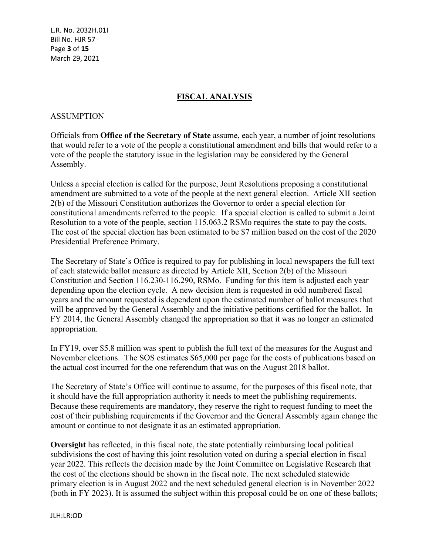L.R. No. 2032H.01I Bill No. HJR 57 Page **3** of **15** March 29, 2021

## **FISCAL ANALYSIS**

#### ASSUMPTION

Officials from **Office of the Secretary of State** assume, each year, a number of joint resolutions that would refer to a vote of the people a constitutional amendment and bills that would refer to a vote of the people the statutory issue in the legislation may be considered by the General Assembly.

Unless a special election is called for the purpose, Joint Resolutions proposing a constitutional amendment are submitted to a vote of the people at the next general election. Article XII section 2(b) of the Missouri Constitution authorizes the Governor to order a special election for constitutional amendments referred to the people. If a special election is called to submit a Joint Resolution to a vote of the people, section 115.063.2 RSMo requires the state to pay the costs. The cost of the special election has been estimated to be \$7 million based on the cost of the 2020 Presidential Preference Primary.

The Secretary of State's Office is required to pay for publishing in local newspapers the full text of each statewide ballot measure as directed by Article XII, Section 2(b) of the Missouri Constitution and Section 116.230-116.290, RSMo. Funding for this item is adjusted each year depending upon the election cycle. A new decision item is requested in odd numbered fiscal years and the amount requested is dependent upon the estimated number of ballot measures that will be approved by the General Assembly and the initiative petitions certified for the ballot. In FY 2014, the General Assembly changed the appropriation so that it was no longer an estimated appropriation.

In FY19, over \$5.8 million was spent to publish the full text of the measures for the August and November elections. The SOS estimates \$65,000 per page for the costs of publications based on the actual cost incurred for the one referendum that was on the August 2018 ballot.

The Secretary of State's Office will continue to assume, for the purposes of this fiscal note, that it should have the full appropriation authority it needs to meet the publishing requirements. Because these requirements are mandatory, they reserve the right to request funding to meet the cost of their publishing requirements if the Governor and the General Assembly again change the amount or continue to not designate it as an estimated appropriation.

**Oversight** has reflected, in this fiscal note, the state potentially reimbursing local political subdivisions the cost of having this joint resolution voted on during a special election in fiscal year 2022. This reflects the decision made by the Joint Committee on Legislative Research that the cost of the elections should be shown in the fiscal note. The next scheduled statewide primary election is in August 2022 and the next scheduled general election is in November 2022 (both in FY 2023). It is assumed the subject within this proposal could be on one of these ballots;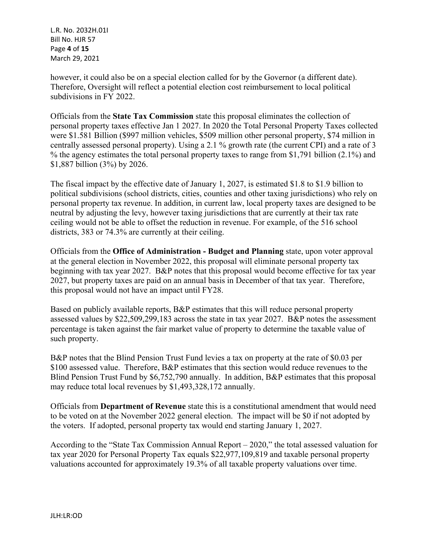L.R. No. 2032H.01I Bill No. HJR 57 Page **4** of **15** March 29, 2021

however, it could also be on a special election called for by the Governor (a different date). Therefore, Oversight will reflect a potential election cost reimbursement to local political subdivisions in FY 2022.

Officials from the **State Tax Commission** state this proposal eliminates the collection of personal property taxes effective Jan 1 2027. In 2020 the Total Personal Property Taxes collected were \$1.581 Billion (\$997 million vehicles, \$509 million other personal property, \$74 million in centrally assessed personal property). Using a 2.1 % growth rate (the current CPI) and a rate of 3 % the agency estimates the total personal property taxes to range from \$1,791 billion (2.1%) and \$1,887 billion (3%) by 2026.

The fiscal impact by the effective date of January 1, 2027, is estimated \$1.8 to \$1.9 billion to political subdivisions (school districts, cities, counties and other taxing jurisdictions) who rely on personal property tax revenue. In addition, in current law, local property taxes are designed to be neutral by adjusting the levy, however taxing jurisdictions that are currently at their tax rate ceiling would not be able to offset the reduction in revenue. For example, of the 516 school districts, 383 or 74.3% are currently at their ceiling.

Officials from the **Office of Administration - Budget and Planning** state, upon voter approval at the general election in November 2022, this proposal will eliminate personal property tax beginning with tax year 2027. B&P notes that this proposal would become effective for tax year 2027, but property taxes are paid on an annual basis in December of that tax year. Therefore, this proposal would not have an impact until FY28.

Based on publicly available reports, B&P estimates that this will reduce personal property assessed values by \$22,509,299,183 across the state in tax year 2027. B&P notes the assessment percentage is taken against the fair market value of property to determine the taxable value of such property.

B&P notes that the Blind Pension Trust Fund levies a tax on property at the rate of \$0.03 per \$100 assessed value. Therefore, B&P estimates that this section would reduce revenues to the Blind Pension Trust Fund by \$6,752,790 annually. In addition, B&P estimates that this proposal may reduce total local revenues by \$1,493,328,172 annually.

Officials from **Department of Revenue** state this is a constitutional amendment that would need to be voted on at the November 2022 general election. The impact will be \$0 if not adopted by the voters. If adopted, personal property tax would end starting January 1, 2027.

According to the "State Tax Commission Annual Report – 2020," the total assessed valuation for tax year 2020 for Personal Property Tax equals \$22,977,109,819 and taxable personal property valuations accounted for approximately 19.3% of all taxable property valuations over time.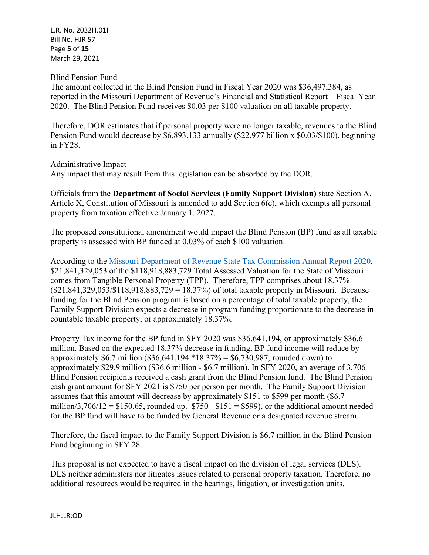L.R. No. 2032H.01I Bill No. HJR 57 Page **5** of **15** March 29, 2021

### Blind Pension Fund

The amount collected in the Blind Pension Fund in Fiscal Year 2020 was \$36,497,384, as reported in the Missouri Department of Revenue's Financial and Statistical Report – Fiscal Year 2020. The Blind Pension Fund receives \$0.03 per \$100 valuation on all taxable property.

Therefore, DOR estimates that if personal property were no longer taxable, revenues to the Blind Pension Fund would decrease by \$6,893,133 annually (\$22.977 billion x \$0.03/\$100), beginning in FY28.

#### Administrative Impact

Any impact that may result from this legislation can be absorbed by the DOR.

Officials from the **Department of Social Services (Family Support Division)** state Section A. Article X, Constitution of Missouri is amended to add Section 6(c), which exempts all personal property from taxation effective January 1, 2027.

The proposed constitutional amendment would impact the Blind Pension (BP) fund as all taxable property is assessed with BP funded at 0.03% of each \$100 valuation.

According to the [Missouri Department of Revenue State Tax Commission Annual Report 2020](https://stc.mo.gov/wp-content/uploads/sites/5/2021/02/2020-Chapter-4.pdf), \$21,841,329,053 of the \$118,918,883,729 Total Assessed Valuation for the State of Missouri comes from Tangible Personal Property (TPP). Therefore, TPP comprises about 18.37%  $($21,841,329,053/$118,918,883,729 = 18.37%)$  of total taxable property in Missouri. Because funding for the Blind Pension program is based on a percentage of total taxable property, the Family Support Division expects a decrease in program funding proportionate to the decrease in countable taxable property, or approximately 18.37%.

Property Tax income for the BP fund in SFY 2020 was \$36,641,194, or approximately \$36.6 million. Based on the expected 18.37% decrease in funding, BP fund income will reduce by approximately \$6.7 million (\$36,641,194 \*18.37% = \$6,730,987, rounded down) to approximately \$29.9 million (\$36.6 million - \$6.7 million). In SFY 2020, an average of 3,706 Blind Pension recipients received a cash grant from the Blind Pension fund. The Blind Pension cash grant amount for SFY 2021 is \$750 per person per month. The Family Support Division assumes that this amount will decrease by approximately \$151 to \$599 per month (\$6.7 million/3,706/12 = \$150.65, rounded up.  $$750 - $151 = $599$ ), or the additional amount needed for the BP fund will have to be funded by General Revenue or a designated revenue stream.

Therefore, the fiscal impact to the Family Support Division is \$6.7 million in the Blind Pension Fund beginning in SFY 28.

This proposal is not expected to have a fiscal impact on the division of legal services (DLS). DLS neither administers nor litigates issues related to personal property taxation. Therefore, no additional resources would be required in the hearings, litigation, or investigation units.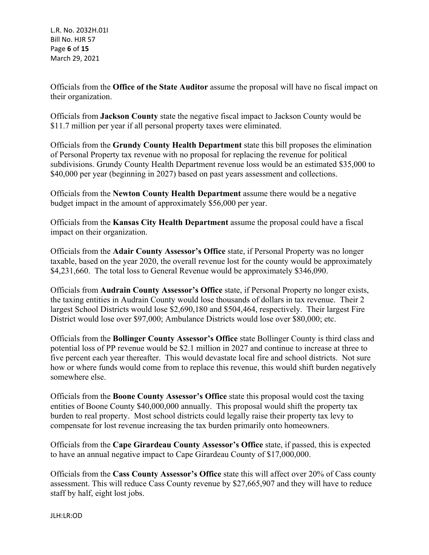L.R. No. 2032H.01I Bill No. HJR 57 Page **6** of **15** March 29, 2021

Officials from the **Office of the State Auditor** assume the proposal will have no fiscal impact on their organization.

Officials from **Jackson County** state the negative fiscal impact to Jackson County would be \$11.7 million per year if all personal property taxes were eliminated.

Officials from the **Grundy County Health Department** state this bill proposes the elimination of Personal Property tax revenue with no proposal for replacing the revenue for political subdivisions. Grundy County Health Department revenue loss would be an estimated \$35,000 to \$40,000 per year (beginning in 2027) based on past years assessment and collections.

Officials from the **Newton County Health Department** assume there would be a negative budget impact in the amount of approximately \$56,000 per year.

Officials from the **Kansas City Health Department** assume the proposal could have a fiscal impact on their organization.

Officials from the **Adair County Assessor's Office** state, if Personal Property was no longer taxable, based on the year 2020, the overall revenue lost for the county would be approximately \$4,231,660. The total loss to General Revenue would be approximately \$346,090.

Officials from **Audrain County Assessor's Office** state, if Personal Property no longer exists, the taxing entities in Audrain County would lose thousands of dollars in tax revenue. Their 2 largest School Districts would lose \$2,690,180 and \$504,464, respectively. Their largest Fire District would lose over \$97,000; Ambulance Districts would lose over \$80,000; etc.

Officials from the **Bollinger County Assessor's Office** state Bollinger County is third class and potential loss of PP revenue would be \$2.1 million in 2027 and continue to increase at three to five percent each year thereafter. This would devastate local fire and school districts. Not sure how or where funds would come from to replace this revenue, this would shift burden negatively somewhere else.

Officials from the **Boone County Assessor's Office** state this proposal would cost the taxing entities of Boone County \$40,000,000 annually. This proposal would shift the property tax burden to real property. Most school districts could legally raise their property tax levy to compensate for lost revenue increasing the tax burden primarily onto homeowners.

Officials from the **Cape Girardeau County Assessor's Office** state, if passed, this is expected to have an annual negative impact to Cape Girardeau County of \$17,000,000.

Officials from the **Cass County Assessor's Office** state this will affect over 20% of Cass county assessment. This will reduce Cass County revenue by \$27,665,907 and they will have to reduce staff by half, eight lost jobs.

JLH:LR:OD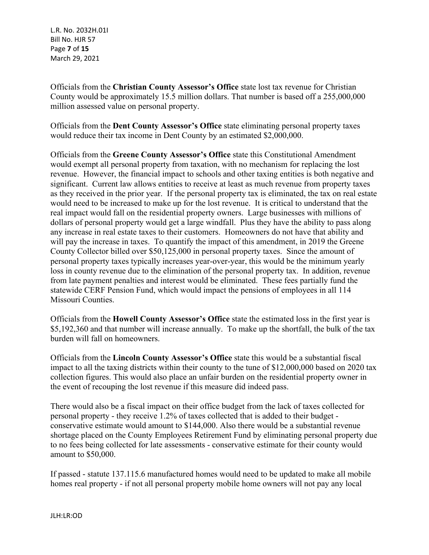L.R. No. 2032H.01I Bill No. HJR 57 Page **7** of **15** March 29, 2021

Officials from the **Christian County Assessor's Office** state lost tax revenue for Christian County would be approximately 15.5 million dollars. That number is based off a 255,000,000 million assessed value on personal property.

Officials from the **Dent County Assessor's Office** state eliminating personal property taxes would reduce their tax income in Dent County by an estimated \$2,000,000.

Officials from the **Greene County Assessor's Office** state this Constitutional Amendment would exempt all personal property from taxation, with no mechanism for replacing the lost revenue. However, the financial impact to schools and other taxing entities is both negative and significant. Current law allows entities to receive at least as much revenue from property taxes as they received in the prior year. If the personal property tax is eliminated, the tax on real estate would need to be increased to make up for the lost revenue. It is critical to understand that the real impact would fall on the residential property owners. Large businesses with millions of dollars of personal property would get a large windfall. Plus they have the ability to pass along any increase in real estate taxes to their customers. Homeowners do not have that ability and will pay the increase in taxes. To quantify the impact of this amendment, in 2019 the Greene County Collector billed over \$50,125,000 in personal property taxes. Since the amount of personal property taxes typically increases year-over-year, this would be the minimum yearly loss in county revenue due to the elimination of the personal property tax. In addition, revenue from late payment penalties and interest would be eliminated. These fees partially fund the statewide CERF Pension Fund, which would impact the pensions of employees in all 114 Missouri Counties.

Officials from the **Howell County Assessor's Office** state the estimated loss in the first year is \$5,192,360 and that number will increase annually. To make up the shortfall, the bulk of the tax burden will fall on homeowners.

Officials from the **Lincoln County Assessor's Office** state this would be a substantial fiscal impact to all the taxing districts within their county to the tune of \$12,000,000 based on 2020 tax collection figures. This would also place an unfair burden on the residential property owner in the event of recouping the lost revenue if this measure did indeed pass.

There would also be a fiscal impact on their office budget from the lack of taxes collected for personal property - they receive 1.2% of taxes collected that is added to their budget conservative estimate would amount to \$144,000. Also there would be a substantial revenue shortage placed on the County Employees Retirement Fund by eliminating personal property due to no fees being collected for late assessments - conservative estimate for their county would amount to \$50,000.

If passed - statute 137.115.6 manufactured homes would need to be updated to make all mobile homes real property - if not all personal property mobile home owners will not pay any local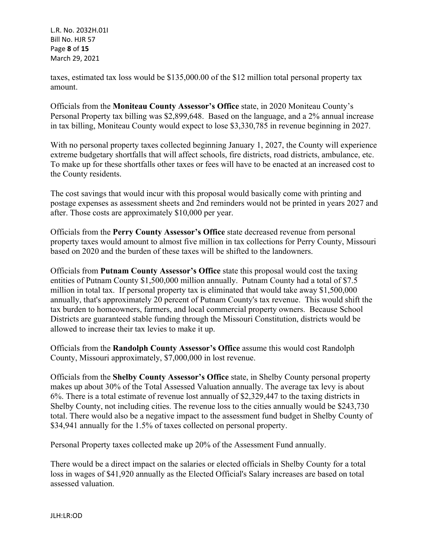L.R. No. 2032H.01I Bill No. HJR 57 Page **8** of **15** March 29, 2021

taxes, estimated tax loss would be \$135,000.00 of the \$12 million total personal property tax amount.

Officials from the **Moniteau County Assessor's Office** state, in 2020 Moniteau County's Personal Property tax billing was \$2,899,648. Based on the language, and a 2% annual increase in tax billing, Moniteau County would expect to lose \$3,330,785 in revenue beginning in 2027.

With no personal property taxes collected beginning January 1, 2027, the County will experience extreme budgetary shortfalls that will affect schools, fire districts, road districts, ambulance, etc. To make up for these shortfalls other taxes or fees will have to be enacted at an increased cost to the County residents.

The cost savings that would incur with this proposal would basically come with printing and postage expenses as assessment sheets and 2nd reminders would not be printed in years 2027 and after. Those costs are approximately \$10,000 per year.

Officials from the **Perry County Assessor's Office** state decreased revenue from personal property taxes would amount to almost five million in tax collections for Perry County, Missouri based on 2020 and the burden of these taxes will be shifted to the landowners.

Officials from **Putnam County Assessor's Office** state this proposal would cost the taxing entities of Putnam County \$1,500,000 million annually. Putnam County had a total of \$7.5 million in total tax. If personal property tax is eliminated that would take away \$1,500,000 annually, that's approximately 20 percent of Putnam County's tax revenue. This would shift the tax burden to homeowners, farmers, and local commercial property owners. Because School Districts are guaranteed stable funding through the Missouri Constitution, districts would be allowed to increase their tax levies to make it up.

Officials from the **Randolph County Assessor's Office** assume this would cost Randolph County, Missouri approximately, \$7,000,000 in lost revenue.

Officials from the **Shelby County Assessor's Office** state, in Shelby County personal property makes up about 30% of the Total Assessed Valuation annually. The average tax levy is about 6%. There is a total estimate of revenue lost annually of \$2,329,447 to the taxing districts in Shelby County, not including cities. The revenue loss to the cities annually would be \$243,730 total. There would also be a negative impact to the assessment fund budget in Shelby County of \$34,941 annually for the 1.5% of taxes collected on personal property.

Personal Property taxes collected make up 20% of the Assessment Fund annually.

There would be a direct impact on the salaries or elected officials in Shelby County for a total loss in wages of \$41,920 annually as the Elected Official's Salary increases are based on total assessed valuation.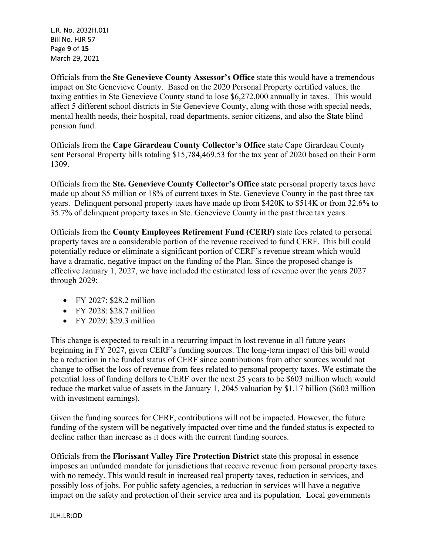L.R. No. 2032H.01I Bill No. HJR 57 Page **9** of **15** March 29, 2021

Officials from the **Ste Genevieve County Assessor's Office** state this would have a tremendous impact on Ste Genevieve County. Based on the 2020 Personal Property certified values, the taxing entities in Ste Genevieve County stand to lose \$6,272,000 annually in taxes. This would affect 5 different school districts in Ste Genevieve County, along with those with special needs, mental health needs, their hospital, road departments, senior citizens, and also the State blind pension fund.

Officials from the **Cape Girardeau County Collector's Office** state Cape Girardeau County sent Personal Property bills totaling \$15,784,469.53 for the tax year of 2020 based on their Form 1309.

Officials from the **Ste. Genevieve County Collector's Office** state personal property taxes have made up about \$5 million or 18% of current taxes in Ste. Genevieve County in the past three tax years. Delinquent personal property taxes have made up from \$420K to \$514K or from 32.6% to 35.7% of delinquent property taxes in Ste. Genevieve County in the past three tax years.

Officials from the **County Employees Retirement Fund (CERF)** state fees related to personal property taxes are a considerable portion of the revenue received to fund CERF. This bill could potentially reduce or eliminate a significant portion of CERF's revenue stream which would have a dramatic, negative impact on the funding of the Plan. Since the proposed change is effective January 1, 2027, we have included the estimated loss of revenue over the years 2027 through 2029:

- FY 2027: \$28.2 million
- $\bullet$  FY 2028: \$28.7 million
- FY 2029: \$29.3 million

This change is expected to result in a recurring impact in lost revenue in all future years beginning in FY 2027, given CERF's funding sources. The long-term impact of this bill would be a reduction in the funded status of CERF since contributions from other sources would not change to offset the loss of revenue from fees related to personal property taxes. We estimate the potential loss of funding dollars to CERF over the next 25 years to be \$603 million which would reduce the market value of assets in the January 1, 2045 valuation by \$1.17 billion (\$603 million with investment earnings).

Given the funding sources for CERF, contributions will not be impacted. However, the future funding of the system will be negatively impacted over time and the funded status is expected to decline rather than increase as it does with the current funding sources.

Officials from the **Florissant Valley Fire Protection District** state this proposal in essence imposes an unfunded mandate for jurisdictions that receive revenue from personal property taxes with no remedy. This would result in increased real property taxes, reduction in services, and possibly loss of jobs. For public safety agencies, a reduction in services will have a negative impact on the safety and protection of their service area and its population. Local governments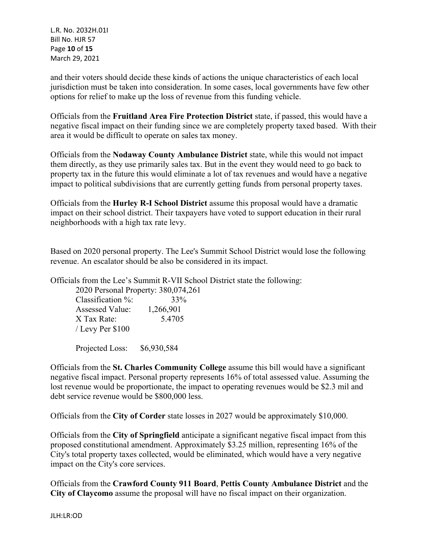L.R. No. 2032H.01I Bill No. HJR 57 Page **10** of **15** March 29, 2021

and their voters should decide these kinds of actions the unique characteristics of each local jurisdiction must be taken into consideration. In some cases, local governments have few other options for relief to make up the loss of revenue from this funding vehicle.

Officials from the **Fruitland Area Fire Protection District** state, if passed, this would have a negative fiscal impact on their funding since we are completely property taxed based. With their area it would be difficult to operate on sales tax money.

Officials from the **Nodaway County Ambulance District** state, while this would not impact them directly, as they use primarily sales tax. But in the event they would need to go back to property tax in the future this would eliminate a lot of tax revenues and would have a negative impact to political subdivisions that are currently getting funds from personal property taxes.

Officials from the **Hurley R-I School District** assume this proposal would have a dramatic impact on their school district. Their taxpayers have voted to support education in their rural neighborhoods with a high tax rate levy.

Based on 2020 personal property. The Lee's Summit School District would lose the following revenue. An escalator should be also be considered in its impact.

Officials from the Lee's Summit R-VII School District state the following:

| 2020 Personal Property: 380,074,261 |           |
|-------------------------------------|-----------|
| Classification $\%$ :               | 33%       |
| <b>Assessed Value:</b>              | 1,266,901 |
| X Tax Rate:                         | 5.4705    |
| / Levy Per \$100                    |           |

Projected Loss: \$6,930,584

Officials from the **St. Charles Community College** assume this bill would have a significant negative fiscal impact. Personal property represents 16% of total assessed value. Assuming the lost revenue would be proportionate, the impact to operating revenues would be \$2.3 mil and debt service revenue would be \$800,000 less.

Officials from the **City of Corder** state losses in 2027 would be approximately \$10,000.

Officials from the **City of Springfield** anticipate a significant negative fiscal impact from this proposed constitutional amendment. Approximately \$3.25 million, representing 16% of the City's total property taxes collected, would be eliminated, which would have a very negative impact on the City's core services.

Officials from the **Crawford County 911 Board**, **Pettis County Ambulance District** and the **City of Claycomo** assume the proposal will have no fiscal impact on their organization.

JLH:LR:OD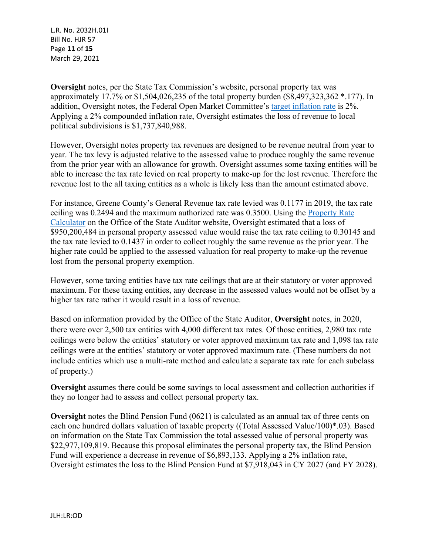L.R. No. 2032H.01I Bill No. HJR 57 Page **11** of **15** March 29, 2021

**Oversight** notes, per the State Tax Commission's website, personal property tax was approximately 17.7% or \$1,504,026,235 of the total property burden (\$8,497,323,362 \*.177). In addition, Oversight notes, the Federal Open Market Committee's [target inflation rate](https://www.federalreserve.gov/faqs/economy_14400.htm) is 2%. Applying a 2% compounded inflation rate, Oversight estimates the loss of revenue to local political subdivisions is \$1,737,840,988.

However, Oversight notes property tax revenues are designed to be revenue neutral from year to year. The tax levy is adjusted relative to the assessed value to produce roughly the same revenue from the prior year with an allowance for growth. Oversight assumes some taxing entities will be able to increase the tax rate levied on real property to make-up for the lost revenue. Therefore the revenue lost to the all taxing entities as a whole is likely less than the amount estimated above.

For instance, Greene County's General Revenue tax rate levied was 0.1177 in 2019, the tax rate ceiling was 0.2494 and the maximum authorized rate was 0.3500. Using the [Property Rate](https://auditor.mo.gov/property-tax-calculators)  [Calculator](https://auditor.mo.gov/property-tax-calculators) on the Office of the State Auditor website, Oversight estimated that a loss of \$950,200,484 in personal property assessed value would raise the tax rate ceiling to 0.30145 and the tax rate levied to 0.1437 in order to collect roughly the same revenue as the prior year. The higher rate could be applied to the assessed valuation for real property to make-up the revenue lost from the personal property exemption.

However, some taxing entities have tax rate ceilings that are at their statutory or voter approved maximum. For these taxing entities, any decrease in the assessed values would not be offset by a higher tax rate rather it would result in a loss of revenue.

Based on information provided by the Office of the State Auditor, **Oversight** notes, in 2020, there were over 2,500 tax entities with 4,000 different tax rates. Of those entities, 2,980 tax rate ceilings were below the entities' statutory or voter approved maximum tax rate and 1,098 tax rate ceilings were at the entities' statutory or voter approved maximum rate. (These numbers do not include entities which use a multi-rate method and calculate a separate tax rate for each subclass of property.)

**Oversight** assumes there could be some savings to local assessment and collection authorities if they no longer had to assess and collect personal property tax.

**Oversight** notes the Blind Pension Fund (0621) is calculated as an annual tax of three cents on each one hundred dollars valuation of taxable property ((Total Assessed Value/100)\*.03). Based on information on the State Tax Commission the total assessed value of personal property was \$22,977,109,819. Because this proposal eliminates the personal property tax, the Blind Pension Fund will experience a decrease in revenue of \$6,893,133. Applying a 2% inflation rate, Oversight estimates the loss to the Blind Pension Fund at \$7,918,043 in CY 2027 (and FY 2028).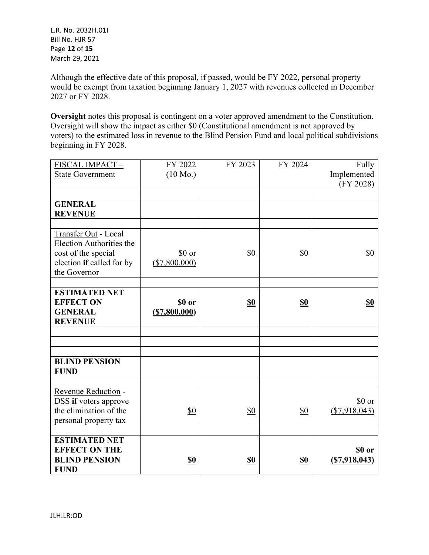Although the effective date of this proposal, if passed, would be FY 2022, personal property would be exempt from taxation beginning January 1, 2027 with revenues collected in December 2027 or FY 2028.

**Oversight** notes this proposal is contingent on a voter approved amendment to the Constitution. Oversight will show the impact as either \$0 (Constitutional amendment is not approved by voters) to the estimated loss in revenue to the Blind Pension Fund and local political subdivisions beginning in FY 2028.

| FISCAL IMPACT-            | FY 2022            | FY 2023        | FY 2024    | Fully           |
|---------------------------|--------------------|----------------|------------|-----------------|
| <b>State Government</b>   | $(10 \text{ Mo.})$ |                |            | Implemented     |
|                           |                    |                |            | (FY 2028)       |
|                           |                    |                |            |                 |
| <b>GENERAL</b>            |                    |                |            |                 |
| <b>REVENUE</b>            |                    |                |            |                 |
|                           |                    |                |            |                 |
| Transfer Out - Local      |                    |                |            |                 |
| Election Authorities the  |                    |                |            |                 |
| cost of the special       | \$0 or             | \$0            | \$0        | \$0             |
| election if called for by | (\$7,800,000)      |                |            |                 |
| the Governor              |                    |                |            |                 |
|                           |                    |                |            |                 |
| <b>ESTIMATED NET</b>      |                    |                |            |                 |
| <b>EFFECT ON</b>          | \$0 or             | S <sub>0</sub> | <b>\$0</b> | <b>\$0</b>      |
| <b>GENERAL</b>            | (S7,800,000)       |                |            |                 |
| <b>REVENUE</b>            |                    |                |            |                 |
|                           |                    |                |            |                 |
|                           |                    |                |            |                 |
|                           |                    |                |            |                 |
| <b>BLIND PENSION</b>      |                    |                |            |                 |
| <b>FUND</b>               |                    |                |            |                 |
|                           |                    |                |            |                 |
| Revenue Reduction -       |                    |                |            |                 |
| DSS if voters approve     |                    |                |            | \$0 or          |
| the elimination of the    | \$0                | \$0            | \$0        | $(\$7,918,043)$ |
| personal property tax     |                    |                |            |                 |
|                           |                    |                |            |                 |
| <b>ESTIMATED NET</b>      |                    |                |            |                 |
| <b>EFFECT ON THE</b>      |                    |                |            | \$0 or          |
| <b>BLIND PENSION</b>      | <u>\$0</u>         | <u>\$0</u>     | <u>\$0</u> | (S7,918,043)    |
| <b>FUND</b>               |                    |                |            |                 |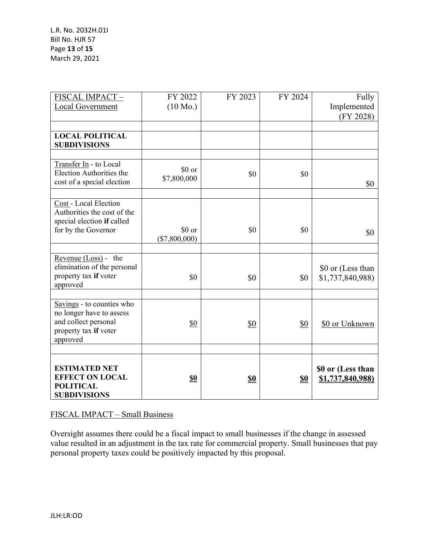L.R. No. 2032H.01I Bill No. HJR 57 Page **13** of **15** March 29, 2021

| FISCAL IMPACT-<br><b>Local Government</b>                                                                          | FY 2022<br>$(10 \text{ Mo.})$ | FY 2023 | FY 2024        | Fully<br>Implemented<br>(FY 2028)     |
|--------------------------------------------------------------------------------------------------------------------|-------------------------------|---------|----------------|---------------------------------------|
| <b>LOCAL POLITICAL</b><br><b>SUBDIVISIONS</b>                                                                      |                               |         |                |                                       |
| Transfer In - to Local<br>Election Authorities the<br>cost of a special election                                   | \$0 or<br>\$7,800,000         | \$0     | \$0            | \$0                                   |
| Cost - Local Election<br>Authorities the cost of the<br>special election if called<br>for by the Governor          | \$0 or<br>$(\$7,800,000)$     | \$0     | \$0            | \$0                                   |
| Revenue $(Loss)$ - the<br>elimination of the personal<br>property tax if voter<br>approved                         | \$0                           | \$0     | \$0            | \$0 or (Less than<br>\$1,737,840,988) |
| Savings - to counties who<br>no longer have to assess<br>and collect personal<br>property tax if voter<br>approved | \$0                           | \$0     | \$0            | \$0 or Unknown                        |
| <b>ESTIMATED NET</b><br><b>EFFECT ON LOCAL</b><br><b>POLITICAL</b><br><b>SUBDIVISIONS</b>                          | <u>\$0</u>                    | \$0     | S <sub>0</sub> | \$0 or (Less than<br>\$1,737,840,988) |

# FISCAL IMPACT – Small Business

Oversight assumes there could be a fiscal impact to small businesses if the change in assessed value resulted in an adjustment in the tax rate for commercial property. Small businesses that pay personal property taxes could be positively impacted by this proposal.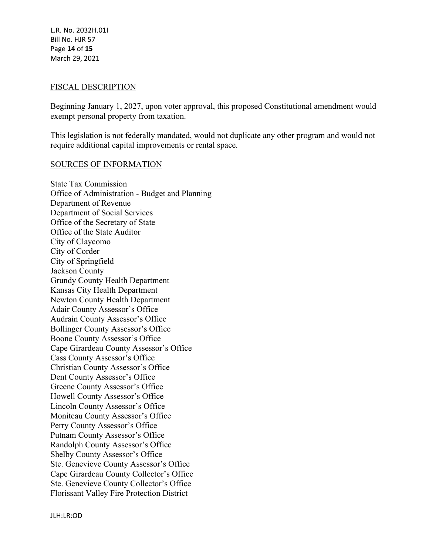L.R. No. 2032H.01I Bill No. HJR 57 Page **14** of **15** March 29, 2021

#### FISCAL DESCRIPTION

Beginning January 1, 2027, upon voter approval, this proposed Constitutional amendment would exempt personal property from taxation.

This legislation is not federally mandated, would not duplicate any other program and would not require additional capital improvements or rental space.

#### SOURCES OF INFORMATION

State Tax Commission Office of Administration - Budget and Planning Department of Revenue Department of Social Services Office of the Secretary of State Office of the State Auditor City of Claycomo City of Corder City of Springfield Jackson County Grundy County Health Department Kansas City Health Department Newton County Health Department Adair County Assessor's Office Audrain County Assessor's Office Bollinger County Assessor's Office Boone County Assessor's Office Cape Girardeau County Assessor's Office Cass County Assessor's Office Christian County Assessor's Office Dent County Assessor's Office Greene County Assessor's Office Howell County Assessor's Office Lincoln County Assessor's Office Moniteau County Assessor's Office Perry County Assessor's Office Putnam County Assessor's Office Randolph County Assessor's Office Shelby County Assessor's Office Ste. Genevieve County Assessor's Office Cape Girardeau County Collector's Office Ste. Genevieve County Collector's Office Florissant Valley Fire Protection District